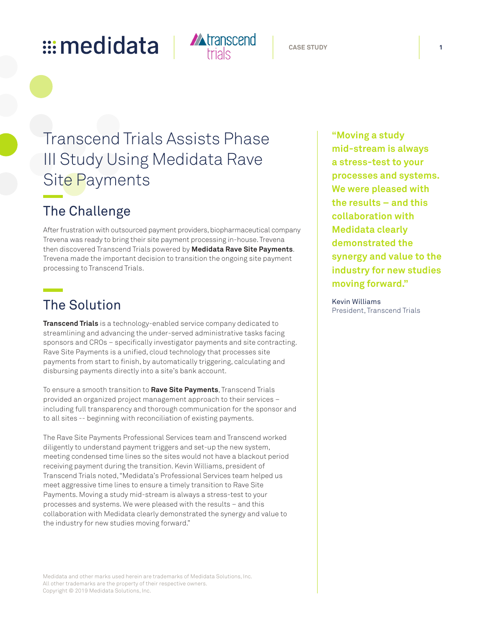# ::: medidata



# Transcend Trials Assists Phase III Study Using Medidata Rave Site Payments

## The Challenge

After frustration with outsourced payment providers, biopharmaceutical company Trevena was ready to bring their site payment processing in-house. Trevena then discovered Transcend Trials powered by **Medidata Rave Site Payments**. Trevena made the important decision to transition the ongoing site payment processing to Transcend Trials.

## The Solution

**Transcend Trials** is a technology-enabled service company dedicated to streamlining and advancing the under-served administrative tasks facing sponsors and CROs – specifically investigator payments and site contracting. Rave Site Payments is a unified, cloud technology that processes site payments from start to finish, by automatically triggering, calculating and disbursing payments directly into a site's bank account.

To ensure a smooth transition to **Rave Site Payments**, Transcend Trials provided an organized project management approach to their services – including full transparency and thorough communication for the sponsor and to all sites -- beginning with reconciliation of existing payments.

The Rave Site Payments Professional Services team and Transcend worked diligently to understand payment triggers and set-up the new system, meeting condensed time lines so the sites would not have a blackout period receiving payment during the transition. Kevin Williams, president of Transcend Trials noted,"Medidata's Professional Services team helped us meet aggressive time lines to ensure a timely transition to Rave Site Payments. Moving a study mid-stream is always a stress-test to your processes and systems. We were pleased with the results – and this collaboration with Medidata clearly demonstrated the synergy and value to the industry for new studies moving forward."

Medidata and other marks used herein are trademarks of Medidata Solutions, Inc. All other trademarks are the property of their respective owners. Copyright © 2019 Medidata Solutions, Inc.

**"Moving a study mid-stream is always a stress-test to your processes and systems. We were pleased with the results – and this collaboration with Medidata clearly demonstrated the synergy and value to the industry for new studies moving forward."** 

Kevin Williams President, Transcend Trials